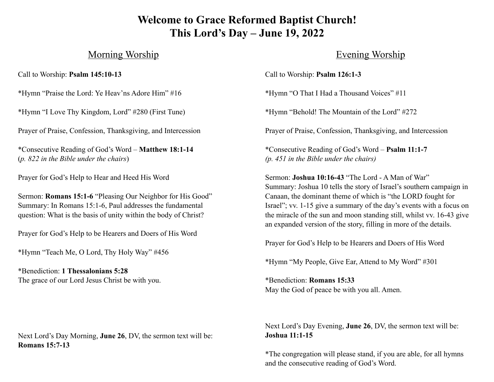## **Welcome to Grace Reformed Baptist Church! This Lord's Day – June 19, 2022**

### Morning Worship

Call to Worship: **Psalm 145:10-13**

\*Hymn "Praise the Lord: Ye Heav'ns Adore Him" #16

\*Hymn "I Love Thy Kingdom, Lord" #280 (First Tune)

Prayer of Praise, Confession, Thanksgiving, and Intercession

\*Consecutive Reading of God's Word – **Matthew 18:1-14** (*p. 822 in the Bible under the chairs*)

Prayer for God's Help to Hear and Heed His Word

Sermon: **Romans 15:1-6** "Pleasing Our Neighbor for His Good" Summary: In Romans 15:1-6, Paul addresses the fundamental question: What is the basis of unity within the body of Christ?

Prayer for God's Help to be Hearers and Doers of His Word

\*Hymn "Teach Me, O Lord, Thy Holy Way" #456

\*Benediction: **1 Thessalonians 5:28** The grace of our Lord Jesus Christ be with you.

Next Lord's Day Morning, **June 26**, DV, the sermon text will be: **Romans 15:7-13**

#### Evening Worship

Call to Worship: **Psalm 126:1-3**

\*Hymn "O That I Had a Thousand Voices" #11

\*Hymn "Behold! The Mountain of the Lord" #272

Prayer of Praise, Confession, Thanksgiving, and Intercession

\*Consecutive Reading of God's Word – **Psalm 11:1-7** *(p. 451 in the Bible under the chairs)*

Sermon: **Joshua 10:16-43** "The Lord - A Man of War" Summary: Joshua 10 tells the story of Israel's southern campaign in Canaan, the dominant theme of which is "the LORD fought for Israel"; vv. 1-15 give a summary of the day's events with a focus on the miracle of the sun and moon standing still, whilst vv. 16-43 give an expanded version of the story, filling in more of the details.

Prayer for God's Help to be Hearers and Doers of His Word

\*Hymn "My People, Give Ear, Attend to My Word" #301

\*Benediction: **Romans 15:33**  May the God of peace be with you all. Amen.

Next Lord's Day Evening, **June 26**, DV, the sermon text will be: **Joshua 11:1-15**

\*The congregation will please stand, if you are able, for all hymns and the consecutive reading of God's Word.